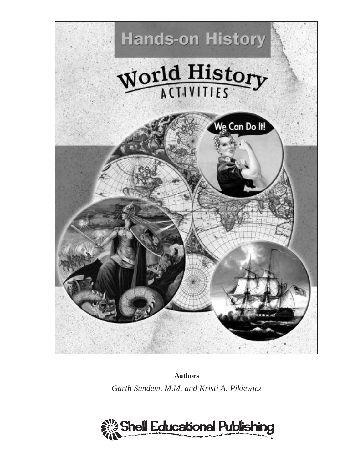

**Authors**

*Garth Sundem, M.M. and Kristi A. Pikiewicz*

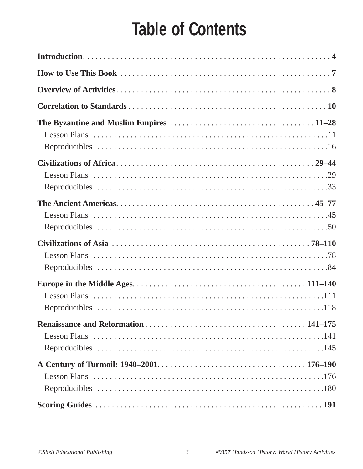# **Table of Contents**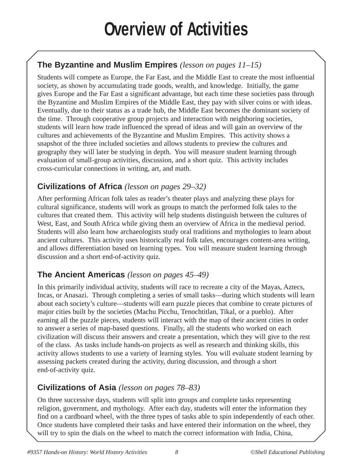# **Overview of Activities**

# **The Byzantine and Muslim Empires** *(lesson on pages 11–15)*

Students will compete as Europe, the Far East, and the Middle East to create the most influential society, as shown by accumulating trade goods, wealth, and knowledge. Initially, the game gives Europe and the Far East a significant advantage, but each time these societies pass through the Byzantine and Muslim Empires of the Middle East, they pay with silver coins or with ideas. Eventually, due to their status as a trade hub, the Middle East becomes the dominant society of the time. Through cooperative group projects and interaction with neighboring societies, students will learn how trade influenced the spread of ideas and will gain an overview of the cultures and achievements of the Byzantine and Muslim Empires. This activity shows a snapshot of the three included societies and allows students to preview the cultures and geography they will later be studying in depth. You will measure student learning through evaluation of small-group activities, discussion, and a short quiz. This activity includes cross-curricular connections in writing, art, and math.

## **Civilizations of Africa** *(lesson on pages 29–32)*

After performing African folk tales as reader's theater plays and analyzing these plays for cultural significance, students will work as groups to match the performed folk tales to the cultures that created them. This activity will help students distinguish between the cultures of West, East, and South Africa while giving them an overview of Africa in the medieval period. Students will also learn how archaeologists study oral traditions and mythologies to learn about ancient cultures. This activity uses historically real folk tales, encourages content-area writing, and allows differentiation based on learning types. You will measure student learning through discussion and a short end-of-activity quiz.

## **The Ancient Americas** *(lesson on pages 45–49)*

In this primarily individual activity, students will race to recreate a city of the Mayas, Aztecs, Incas, or Anasazi. Through completing a series of small tasks—during which students will learn about each society's culture—students will earn puzzle pieces that combine to create pictures of major cities built by the societies (Machu Picchu, Tenochtitlan, Tikal, or a pueblo). After earning all the puzzle pieces, students will interact with the map of their ancient cities in order to answer a series of map-based questions. Finally, all the students who worked on each civilization will discuss their answers and create a presentation, which they will give to the rest of the class. As tasks include hands-on projects as well as research and thinking skills, this activity allows students to use a variety of learning styles. You will evaluate student learning by assessing packets created during the activity, during discussion, and through a short end-of-activity quiz.

## **Civilizations of Asia** *(lesson on pages 78–83)*

On three successive days, students will split into groups and complete tasks representing religion, government, and mythology. After each day, students will enter the information they find on a cardboard wheel, with the three types of tasks able to spin independently of each other. Once students have completed their tasks and have entered their information on the wheel, they will try to spin the dials on the wheel to match the correct information with India, China,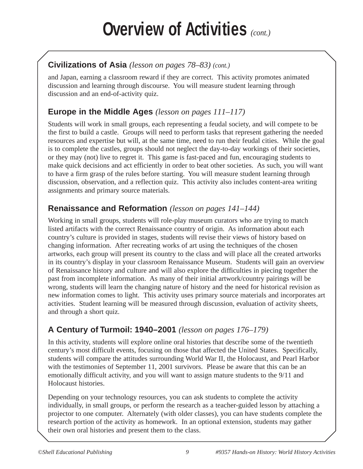## **Civilizations of Asia** *(lesson on pages 78–83) (cont.)*

and Japan, earning a classroom reward if they are correct. This activity promotes animated discussion and learning through discourse. You will measure student learning through discussion and an end-of-activity quiz.

## **Europe in the Middle Ages** *(lesson on pages 111–117)*

Students will work in small groups, each representing a feudal society, and will compete to be the first to build a castle. Groups will need to perform tasks that represent gathering the needed resources and expertise but will, at the same time, need to run their feudal cities. While the goal is to complete the castles, groups should not neglect the day-to-day workings of their societies, or they may (not) live to regret it. This game is fast-paced and fun, encouraging students to make quick decisions and act efficiently in order to beat other societies. As such, you will want to have a firm grasp of the rules before starting. You will measure student learning through discussion, observation, and a reflection quiz. This activity also includes content-area writing assignments and primary source materials.

## **Renaissance and Reformation** *(lesson on pages 141–144)*

Working in small groups, students will role-play museum curators who are trying to match listed artifacts with the correct Renaissance country of origin. As information about each country's culture is provided in stages, students will revise their views of history based on changing information. After recreating works of art using the techniques of the chosen artworks, each group will present its country to the class and will place all the created artworks in its country's display in your classroom Renaissance Museum. Students will gain an overview of Renaissance history and culture and will also explore the difficulties in piecing together the past from incomplete information. As many of their initial artwork/country pairings will be wrong, students will learn the changing nature of history and the need for historical revision as new information comes to light. This activity uses primary source materials and incorporates art activities. Student learning will be measured through discussion, evaluation of activity sheets, and through a short quiz.

## **A Century of Turmoil: 1940–2001** *(lesson on pages 176–179)*

In this activity, students will explore online oral histories that describe some of the twentieth century's most difficult events, focusing on those that affected the United States. Specifically, students will compare the attitudes surrounding World War II, the Holocaust, and Pearl Harbor with the testimonies of September 11, 2001 survivors. Please be aware that this can be an emotionally difficult activity, and you will want to assign mature students to the 9/11 and Holocaust histories.

Depending on your technology resources, you can ask students to complete the activity individually, in small groups, or perform the research as a teacher-guided lesson by attaching a projector to one computer. Alternately (with older classes), you can have students complete the research portion of the activity as homework. In an optional extension, students may gather their own oral histories and present them to the class.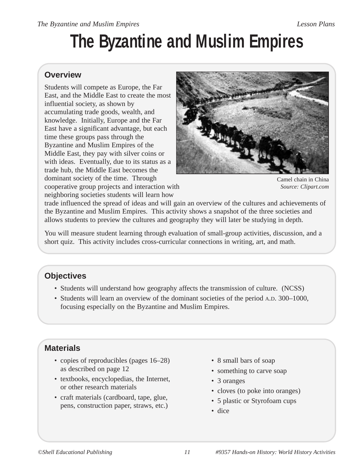# **The Byzantine and Muslim Empires**

#### **Overview**

Students will compete as Europe, the Far East, and the Middle East to create the most influential society, as shown by accumulating trade goods, wealth, and knowledge. Initially, Europe and the Far East have a significant advantage, but each time these groups pass through the Byzantine and Muslim Empires of the Middle East, they pay with silver coins or with ideas. Eventually, due to its status as a trade hub, the Middle East becomes the dominant society of the time. Through cooperative group projects and interaction with neighboring societies students will learn how



Camel chain in China *Source: Clipart.com*

trade influenced the spread of ideas and will gain an overview of the cultures and achievements of the Byzantine and Muslim Empires. This activity shows a snapshot of the three societies and allows students to preview the cultures and geography they will later be studying in depth.

You will measure student learning through evaluation of small-group activities, discussion, and a short quiz. This activity includes cross-curricular connections in writing, art, and math.

## **Objectives**

- Students will understand how geography affects the transmission of culture. (NCSS)
- Students will learn an overview of the dominant societies of the period A.D. 300–1000, focusing especially on the Byzantine and Muslim Empires.

## **Materials**

- copies of reproducibles (pages 16–28) as described on page 12
- textbooks, encyclopedias, the Internet, or other research materials
- craft materials (cardboard, tape, glue, pens, construction paper, straws, etc.)
- 8 small bars of soap
- something to carve soap
- 3 oranges
- cloves (to poke into oranges)
- 5 plastic or Styrofoam cups
- dice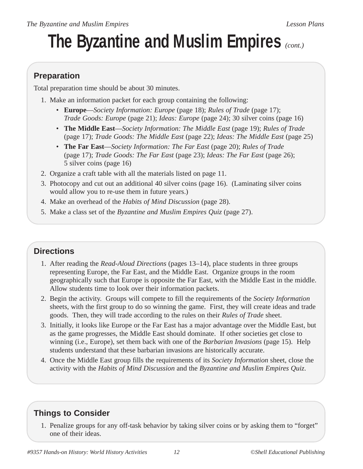# **The Byzantine and Muslim Empires** *(cont.)*

## **Preparation**

Total preparation time should be about 30 minutes.

- 1. Make an information packet for each group containing the following:
	- **Europe**—*Society Information: Europe* (page 18); *Rules of Trade* (page 17); *Trade Goods: Europe* (page 21); *Ideas: Europe* (page 24); 30 silver coins (page 16)
	- **The Middle East**—*Society Information: The Middle East* (page 19); *Rules of Trade* (page 17); *Trade Goods: The Middle East* (page 22); *Ideas: The Middle East* (page 25)
	- **The Far East**—*Society Information: The Far East* (page 20); *Rules of Trade* (page 17); *Trade Goods: The Far East* (page 23); *Ideas: The Far East* (page 26); 5 silver coins (page 16)
- 2. Organize a craft table with all the materials listed on page 11.
- 3. Photocopy and cut out an additional 40 silver coins (page 16). (Laminating silver coins would allow you to re-use them in future years.)
- 4. Make an overhead of the *Habits of Mind Discussion* (page 28).
- 5. Make a class set of the *Byzantine and Muslim Empires Quiz* (page 27).

## **Directions**

- 1. After reading the *Read-Aloud Directions* (pages 13–14), place students in three groups representing Europe, the Far East, and the Middle East. Organize groups in the room geographically such that Europe is opposite the Far East, with the Middle East in the middle. Allow students time to look over their information packets.
- 2. Begin the activity. Groups will compete to fill the requirements of the *Society Information* sheets, with the first group to do so winning the game. First, they will create ideas and trade goods. Then, they will trade according to the rules on their *Rules of Trade* sheet.
- 3. Initially, it looks like Europe or the Far East has a major advantage over the Middle East, but as the game progresses, the Middle East should dominate. If other societies get close to winning (i.e., Europe), set them back with one of the *Barbarian Invasions* (page 15). Help students understand that these barbarian invasions are historically accurate.
- 4. Once the Middle East group fills the requirements of its *Society Information* sheet, close the activity with the *Habits of Mind Discussion* and the *Byzantine and Muslim Empires Quiz*.

# **Things to Consider**

1. Penalize groups for any off-task behavior by taking silver coins or by asking them to "forget" one of their ideas.